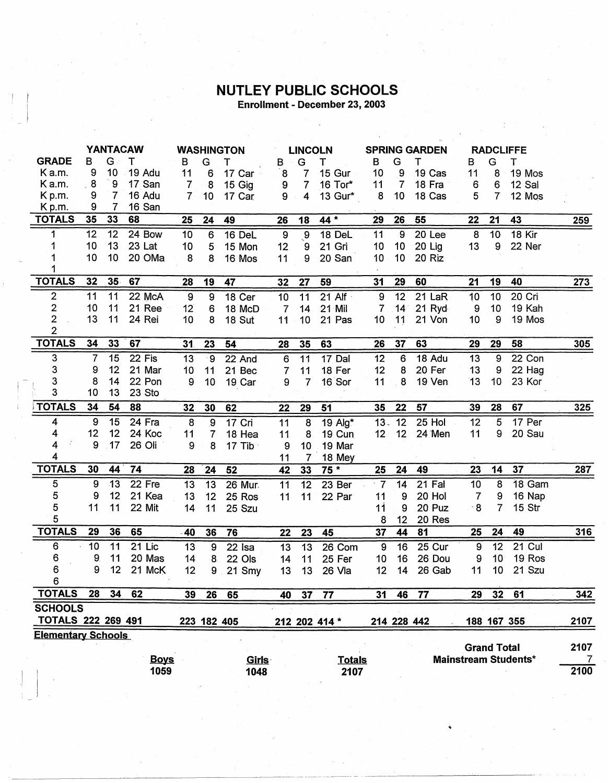## **NUTLEY PUBLIC SCHOOLS**

Enrollment - December 23, 2003

|                                             | <b>YANTACAW</b> |                 | <b>WASHINGTON</b> |                | <b>LINCOLN</b>  |             |                  | <b>SPRING GARDEN</b> |               |                 | <b>RADCLIFFE</b> |                   |             |                    |                             |                |
|---------------------------------------------|-----------------|-----------------|-------------------|----------------|-----------------|-------------|------------------|----------------------|---------------|-----------------|------------------|-------------------|-------------|--------------------|-----------------------------|----------------|
| <b>GRADE</b>                                | в               | $G$ :           | $\mathsf{T}$      | B              | G               | т           | В                | G                    | т             | $\mathsf{B}$    | G                | т                 | в           | G                  | т                           |                |
| Ka.m.                                       | 9               | 10              | 19 Adu            | 11             | 6               | 17 Car      | $\mathbf{8}$     | 7                    | 15 Gur        | 10              | 9                | 19 Cas            | 11          | 8                  | 19 Mos                      |                |
| Ka.m.                                       | 8               | 9               | 17 San            | $\overline{7}$ | 8               | 15 Gig      | 9                | $\overline{7}$       | 16 Tor*       | 11              | $\overline{7}$   | 18 Fra            | 6           | 6                  | 12 Sal                      |                |
| K <sub>p.m.</sub>                           | 9               | 7               | 16 Adu            | $\overline{7}$ | 10 <sub>1</sub> | 17 Car      | 9                | 4                    | 13 Gur*       | 8               | 10               | 18 Cas            | 5           | $\overline{7}$     | 12 Mos                      |                |
| $K$ p.m.                                    | 9               | 7               | 16 San            |                |                 |             |                  |                      |               |                 |                  |                   |             |                    |                             |                |
| <b>TOTALS</b>                               | 35              | 33              | 68                | 25             | 24              | 49          | 26               | 18                   | $44 *$        | 29              | 26               | 55                | 22          | 21                 | 43                          | 259            |
| 1                                           | 12              | 12              | 24 Bow            | 10             | 6               | 16 DeL      | $\boldsymbol{9}$ | $\overline{.9}$      | 18 DeL        | 11              | $\overline{9}$   | 20 <sub>Lee</sub> | $\bf 8$     | 10 <sup>1</sup>    | <b>18 Kir</b>               |                |
|                                             | 10              | 13              | 23 Lat            | 10             | 5               | 15 Mon      | 12               | 9                    | 21 Gri        | 10              | 10               | 20 Lig            | 13          | 9                  | 22 Ner                      |                |
|                                             | 10              | 10              | 20 OMa            | 8              | 8               | 16 Mos      | 11               | 9                    | 20 San        | 10 <sub>1</sub> | 10 <sub>1</sub>  | 20 Riz            |             |                    |                             |                |
| <b>TOTALS</b>                               | 32              | 35 <sub>1</sub> | 67                | 28             | 19              | 47          | 32               | 27                   | 59            | 31              | 29               | 60                | 21          | 19                 | 40                          | 273            |
| $\overline{c}$                              | 11              | 11              | 22 McA            | 9              | 9               | 18 Cer      | 10               | 11                   | $21$ Alf      | 9               | 12               | 21 LaR            | 10          | 10                 | 20 Cri                      |                |
| 2                                           | 10              | 11              | 21 Ree            | 12             | 6               | 18 McD      | $\overline{7}$   | 14                   | 21 Mil        | $\overline{7}$  | $14^\circ$       | $21$ Ryd          | 9           | 10                 | 19 Kah                      |                |
| 2                                           | 13              | 11              | 24 Rei            | 10             | 8               | 18 Sut      | 11               | 10 <sup>1</sup>      | 21 Pas        | 10              | 11               | 21 Von            | 10          | 9                  | 19 Mos                      |                |
| $\overline{2}$                              |                 |                 |                   |                |                 |             |                  |                      |               |                 |                  |                   |             |                    |                             |                |
| <b>TOTALS</b>                               | 34              | 33              | 67                | 31             | 23              | 54          | 28               | 35                   | 63            | 26              | 37               | 63                | 29          | 29                 | 58                          | 305            |
| 3                                           | $\overline{7}$  | 15              | 22 Fis            | 13             | $\cdot$ 9       | 22 And      | 6                | 11                   | $17$ Dal      | 12              | 6                | 18 Adu            | 13          | 9                  | 22 Con                      |                |
| 3                                           | 9               | 12              | 21 Mar            | 10             | 11              | 21 Bec      | $\overline{7}$   | 11                   | 18 Fer        | 12              | 8                | 20 Fer            | 13          | 9                  | 22 Hag                      |                |
| 3                                           | 8               | 14              | 22 Pon            | 9              | 10 <sub>2</sub> | 19 Car      | 9                | 7                    | 16 Sor        | 11              | 8                | 19 Ven            | 13          | 10                 | 23 Kor                      |                |
| 3                                           | 10              | 13              | 23 Sto            |                |                 |             |                  |                      |               |                 |                  |                   |             |                    |                             |                |
| <b>TOTALS</b>                               | 34              | 54              | 88                | 32             | 30              | 62          | 22               | 29                   | 51            | 35              | 22               | 57                | 39          | 28                 | 67                          | 325            |
| 4                                           | 9               | 15              | 24 Fra            | $\bf 8$        | $\overline{9}$  | $17$ Cri    | 11               | 8                    | 19 Alg*       | $13 -$          | $\overline{12}$  | $25$ Hol          | 12          | 5                  | 17 Per                      |                |
| 4                                           | 12              | 12              | 24 Koc            | 11             | $\overline{7}$  | 18 Hea      | 11               | 8                    | 19 Cun        | 12 <sub>2</sub> | 12 <sup>7</sup>  | 24 Men            | 11          | 9                  | 20 Sau                      |                |
| 4                                           | 9               | 17              | 26 Oli            | 9              | 8               | 17 Tib      | 9                | 10 <sub>1</sub>      | 19 Mar        |                 |                  |                   |             |                    |                             |                |
| 4                                           |                 |                 |                   |                |                 |             | 11               | 7                    | 18 Mey        |                 |                  |                   |             |                    |                             |                |
| <b>TOTALS</b>                               | 30              | 44              | 74                | 28             | 24              | 52          | 42               | 33                   | $75*$         | 25              | 24               | 49                | 23          | 14                 | 37                          | 287            |
| 5                                           | 9               | $-13$           | 22 Fre            | 13             | 13              | 26 Mur.     | 11               | 12                   | 23 Ber        | $\cdot$ 7       | 14               | 21 Fal            | 10          | 8                  | 18 Gam                      |                |
| 5                                           | 9               | 12              | 21 Kea            | 13             | 12              | 25 Ros      | 11               | 11                   | 22 Par        | 11              | 9                | 20 Hol            | 7           | 9                  | 16 Nap                      |                |
| 5                                           | 11              | 11              | 22 Mit            | 14             | 11              | 25 Szu      |                  |                      |               | 11              | 9                | 20 Puz            | $^{\circ}8$ | $\overline{7}$     | 15 Str                      |                |
| 5                                           |                 |                 |                   |                |                 |             |                  |                      |               | 8               | 12 <sub>2</sub>  | 20 Res            |             |                    |                             |                |
| <b>TOTALS</b>                               | 29              | 36              | 65                | 40             | 36              | 76          | 22               | 23                   | 45            | 37              | 44               | 81                | 25          | 24                 | 49                          | 316            |
| 6                                           | 10              | 11              | $21$ Lic          | 13             | 9               | $22$ Isa    | 13               | $\overline{13}$      | 26 Com        | 9               | 16               | 25 Cur            | 9           | 12                 | 21 Cul                      |                |
| 6                                           | 9               | 11              | 20 Mas            | 14             | 8               | 22 Ols      | 14               | 11                   | 25 Fer        | 10              | 16               | 26 Dou            | 9           | 10                 | 19 Ros                      |                |
| 6                                           | 9               | 12              | 21 McK            | 12             | 9               | 21 Smy      | 13               | 13                   | 26 Vla        | 12              | 14               | 26 Gab            | 11          | 10                 | 21 Szu                      |                |
| 6                                           |                 |                 |                   |                |                 |             |                  |                      |               |                 |                  |                   |             |                    |                             |                |
| <b>TOTALS</b>                               | 28              | 34              | 62                | 39             | 26              | 65          | 40               | 37                   | 77            | 31              | 46               | 77                | 29          | 32                 | 61                          | 342            |
| <b>SCHOOLS</b><br><b>TOTALS 222 269 491</b> |                 |                 |                   |                |                 | 223 182 405 |                  |                      | 212 202 414 * |                 | 214 228 442      |                   |             |                    | 188 167 355                 | 2107           |
| <b>Elementary Schools</b>                   |                 |                 |                   |                |                 |             |                  |                      |               |                 |                  |                   |             | <b>Grand Total</b> |                             | 2107           |
|                                             |                 |                 | <b>Boys</b>       |                |                 | Girls       |                  |                      | <b>Totals</b> |                 |                  |                   |             |                    | <b>Mainstream Students*</b> | $\overline{7}$ |
|                                             |                 |                 | 1059              |                |                 | 1048        |                  |                      | 2107          |                 |                  |                   |             |                    |                             | 2100           |